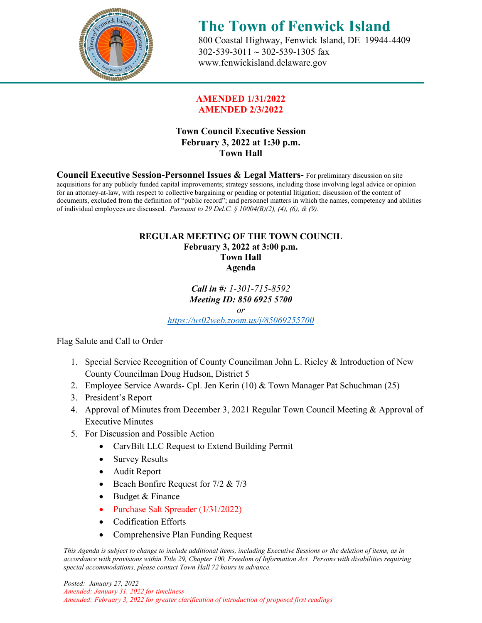

## **The Town of Fenwick Island** 800 Coastal Highway, Fenwick Island, DE 19944-4409

 302-539-3011 ∼ 302-539-1305 fax [www.fenwickisland.delaware.gov](http://www.fenwickisland.delaware.gov/)

### **AMENDED 1/31/2022 AMENDED 2/3/2022**

## **Town Council Executive Session February 3, 2022 at 1:30 p.m. Town Hall**

**Council Executive Session-Personnel Issues & Legal Matters-** For preliminary discussion on site acquisitions for any publicly funded capital improvements; strategy sessions, including those involving legal advice or opinion for an attorney-at-law, with respect to collective bargaining or pending or potential litigation; discussion of the content of documents, excluded from the definition of "public record"; and personnel matters in which the names, competency and abilities of individual employees are discussed. *Pursuant to 29 Del.C. § 10004(B)(2), (4), (6), & (9).*

### **REGULAR MEETING OF THE TOWN COUNCIL February 3, 2022 at 3:00 p.m. Town Hall Agenda**

#### *Call in #: 1-301-715-8592 Meeting ID: 850 6925 5700 or*

*<https://us02web.zoom.us/j/85069255700>*

Flag Salute and Call to Order

- 1. Special Service Recognition of County Councilman John L. Rieley & Introduction of New County Councilman Doug Hudson, District 5
- 2. Employee Service Awards- Cpl. Jen Kerin (10) & Town Manager Pat Schuchman (25)
- 3. President's Report
- 4. Approval of Minutes from December 3, 2021 Regular Town Council Meeting & Approval of Executive Minutes
- 5. For Discussion and Possible Action
	- CarvBilt LLC Request to Extend Building Permit
	- Survey Results
	- Audit Report
	- Beach Bonfire Request for 7/2 & 7/3
	- Budget & Finance
	- Purchase Salt Spreader (1/31/2022)
	- Codification Efforts
	- Comprehensive Plan Funding Request

*This Agenda is subject to change to include additional items, including Executive Sessions or the deletion of items, as in accordance with provisions within Title 29, Chapter 100, Freedom of Information Act. Persons with disabilities requiring special accommodations, please contact Town Hall 72 hours in advance.*